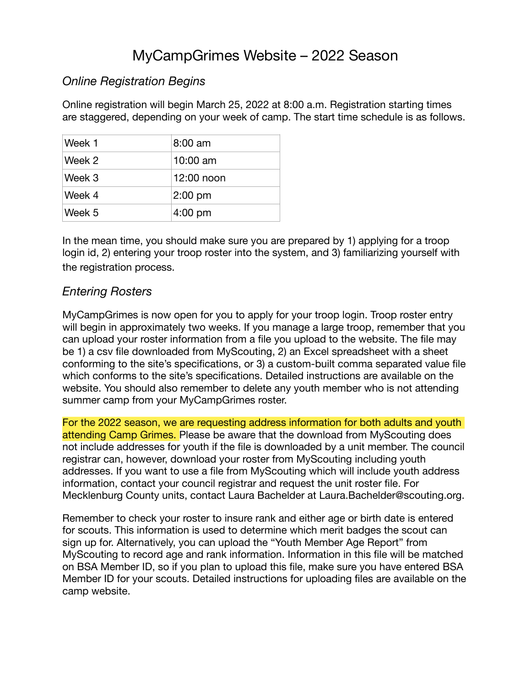# MyCampGrimes Website – 2022 Season

## *Online Registration Begins*

Online registration will begin March 25, 2022 at 8:00 a.m. Registration starting times are staggered, depending on your week of camp. The start time schedule is as follows.

| Week 1 | $8:00 \text{ am}$ |
|--------|-------------------|
| Week 2 | $10:00$ am        |
| Week 3 | $12:00$ noon      |
| Week 4 | $2:00$ pm         |
| Week 5 | $4:00$ pm         |

In the mean time, you should make sure you are prepared by 1) applying for a troop login id, 2) entering your troop roster into the system, and 3) familiarizing yourself with the registration process.

## *Entering Rosters*

MyCampGrimes is now open for you to apply for your troop login. Troop roster entry will begin in approximately two weeks. If you manage a large troop, remember that you can upload your roster information from a file you upload to the website. The file may be 1) a csv file downloaded from MyScouting, 2) an Excel spreadsheet with a sheet conforming to the site's specifications, or 3) a custom-built comma separated value file which conforms to the site's specifications. Detailed instructions are available on the website. You should also remember to delete any youth member who is not attending summer camp from your MyCampGrimes roster.

For the 2022 season, we are requesting address information for both adults and youth attending Camp Grimes. Please be aware that the download from MyScouting does not include addresses for youth if the file is downloaded by a unit member. The council registrar can, however, download your roster from MyScouting including youth addresses. If you want to use a file from MyScouting which will include youth address information, contact your council registrar and request the unit roster file. For Mecklenburg County units, contact Laura Bachelder at Laura.Bachelder@scouting.org.

Remember to check your roster to insure rank and either age or birth date is entered for scouts. This information is used to determine which merit badges the scout can sign up for. Alternatively, you can upload the "Youth Member Age Report" from MyScouting to record age and rank information. Information in this file will be matched on BSA Member ID, so if you plan to upload this file, make sure you have entered BSA Member ID for your scouts. Detailed instructions for uploading files are available on the camp website.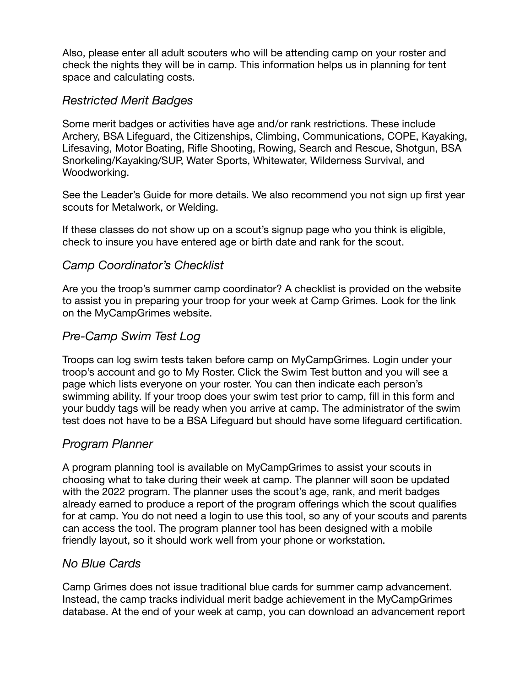Also, please enter all adult scouters who will be attending camp on your roster and check the nights they will be in camp. This information helps us in planning for tent space and calculating costs.

## *Restricted Merit Badges*

Some merit badges or activities have age and/or rank restrictions. These include Archery, BSA Lifeguard, the Citizenships, Climbing, Communications, COPE, Kayaking, Lifesaving, Motor Boating, Rifle Shooting, Rowing, Search and Rescue, Shotgun, BSA Snorkeling/Kayaking/SUP, Water Sports, Whitewater, Wilderness Survival, and Woodworking.

See the Leader's Guide for more details. We also recommend you not sign up first year scouts for Metalwork, or Welding.

If these classes do not show up on a scout's signup page who you think is eligible, check to insure you have entered age or birth date and rank for the scout.

## *Camp Coordinator's Checklist*

Are you the troop's summer camp coordinator? A checklist is provided on the website to assist you in preparing your troop for your week at Camp Grimes. Look for the link on the MyCampGrimes website.

## *Pre-Camp Swim Test Log*

Troops can log swim tests taken before camp on MyCampGrimes. Login under your troop's account and go to My Roster. Click the Swim Test button and you will see a page which lists everyone on your roster. You can then indicate each person's swimming ability. If your troop does your swim test prior to camp, fill in this form and your buddy tags will be ready when you arrive at camp. The administrator of the swim test does not have to be a BSA Lifeguard but should have some lifeguard certification.

## *Program Planner*

A program planning tool is available on MyCampGrimes to assist your scouts in choosing what to take during their week at camp. The planner will soon be updated with the 2022 program. The planner uses the scout's age, rank, and merit badges already earned to produce a report of the program offerings which the scout qualifies for at camp. You do not need a login to use this tool, so any of your scouts and parents can access the tool. The program planner tool has been designed with a mobile friendly layout, so it should work well from your phone or workstation.

## *No Blue Cards*

Camp Grimes does not issue traditional blue cards for summer camp advancement. Instead, the camp tracks individual merit badge achievement in the MyCampGrimes database. At the end of your week at camp, you can download an advancement report